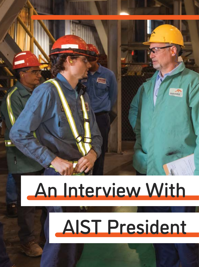

### An Interview With

## AIST President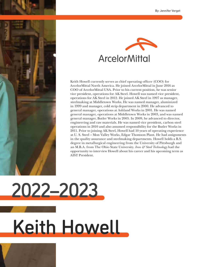



Keith Howell currently serves as chief operating officer (COO) for ArcelorMittal North America. He joined ArcelorMittal in June 2016 as COO of ArcelorMittal USA. Prior to his current position, he was senior vice president, operations for AK Steel. Howell was named vice president, operations for AK Steel in 2012. He joined AK Steel in 1997 as manager, steelmaking at Middletown Works. He was named manager, aluminized in 1999 and manager, cold strip department in 2000. He advanced to general manager, operations at Ashland Works in 2001. He was named general manager, operations at Middletown Works in 2003, and was named general manager, Butler Works in 2005. In 2009, he advanced to director, engineering and raw materials. He was named vice president, carbon steel operations in 2010 and also assumed responsibility for the Butler Works in 2011. Prior to joining AK Steel, Howell had 10 years of operating experience at U. S. Steel – Mon Valley Works, Edgar Thomson Plant. He had assignments in the quality assurance and steelmaking departments. Howell holds a B.S. degree in metallurgical engineering from the University of Pittsburgh and an M.B.A. from The Ohio State University. *Iron & Steel Technology* had the opportunity to interview Howell about his career and his upcoming term as AIST President.

# Keith Howell 2022–2023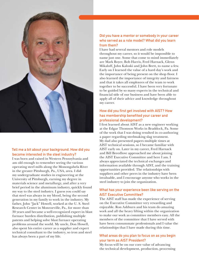

### Tell me a bit about your background. How did you become interested in the steel industry?

I was born and raised in Western Pennsylvania and am old enough to remember seeing the various operating steel mills along the Monongahela River in the greater Pittsburgh, Pa., USA, area. I did my undergraduate studies in engineering at the University of Pittsburgh, earning my degree in materials science and metallurgy, and after a very brief period in the aluminum industry, quickly found my way to the steel industry. I guess you could say that steel was always in my blood, being the second generation in my family to work in the industry. My father, John "Jack" Howell, worked at the U. S. Steel Research Center in Monroeville, Pa., for more than 30 years and became a well-recognized expert in blast furnace burden distribution, publishing multiple patents and helping solve blast furnace operating problems around the world. My uncle, Don Howell, also spent his entire career as a supplier and expert technical consultant to the industry, so iron and steel has always been a part of my life.

### Did you have a mentor or somebody in your career who served as a role model? What did you learn from them?

I have had several mentors and role models throughout my career, so it would be impossible to name just one. Some that come to mind immediately are Mark Boyer, Bob Harris, Fred Harnack, Glenn Mikaloff, John Kaloski and John Brett, to name a few. Early on I learned the value of a hard day's work and the importance of being present on the shop floor. I also learned the importance of integrity and fairness and that it takes all employees of the team to work together to be successful. I have been very fortunate to be guided by so many experts in the technical and financial side of our business and have been able to apply all of their advice and knowledge throughout my career.

### How did you first get involved with AIST? How has membership benefited your career and professional development?

I first learned about AIST as a new engineer working at the Edgar Thomson Works in Braddock, Pa. Some of the work that I was doing resulted in co-authoring a paper regarding steelmaking slag treatment. My dad also presented papers multiple times at AIST technical sessions, so I became familiar with AIST early on. Later in my career, Fred Harnack and Bill Breedlove approached me about joining the AIST Executive Committee and here I am. I always appreciated the technical exchanges and information available through AIST, and the training opportunities provided. The relationships with suppliers and other peers in the industry have been invaluable, and I encourage anyone who works in the steel industry to join the organization.

### What has your experience been like serving on the AIST Executive Committee?

The AIST staff has made the experience of serving on the Executive Committee very rewarding and enjoyable. Ron Ashburn and his team do amazing work and all the heavy lifting within the organization to make our work as committee members easy. All the members of the committee that I have served with have been consummate professionals and I value the relationships that I have made during this time.

### What areas do you plan to focus on as you begin your term as AIST President?

My focus will be on our core value of advancing the technical development, production, processing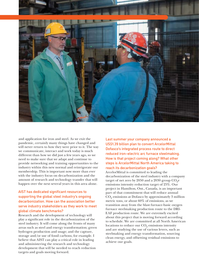



and application for iron and steel. As we exit the pandemic, certainly many things have changed and will never return to how they were prior to it. The way we communicate, interact and work today is much different than how we did just a few years ago, so we need to make sure that we adapt and continue to provide networking and training opportunities to the industry within this new normal and reinvigorate our membership. This is important now more than ever with the industry focus on decarbonization and the amount of research and technology transfer that will happen over the next several years in this area alone.

### AIST has dedicated significant resources to supporting the global steel industry's ongoing decarbonization. How can the association better serve industry stakeholders as they work to meet global climate benchmarks?

Research and the development of technology will play a significant role in the decarbonization of the steel industry. It will come along the fronts of many areas such as steel and energy transformation; green hydrogen production and usage; and the capture, storage and/or use of fossil carbons, for example. I believe that AIST can play a critical role in leading and administering the research and technology development that will be needed to reach reduction targets and goals moving forward.

Last summer your company announced a US\$1.39 billion plan to convert ArcelorMittal Dofasco's integrated process route to direct reduced iron–electric arc furnace steelmaking. How is that project coming along? What other steps is ArcelorMittal North America taking to reach its decarbonization goals?

ArcelorMittal is committed to leading the decarbonization of the steel industry with a company target of net zero by 2050 and a 2030 group  $CO<sub>9</sub>e$ emissions intensity reduction target of 25%. Our project in Hamilton, Ont., Canada, is an important part of that commitment that will reduce annual CO<sub>2</sub> emissions at Dofasco by approximately 3 million metric tons, or about 60% of emissions, as we transition away from the blast furnace-basic oxygen furnace steelmaking production route to the DRI-EAF production route. We are extremely excited about this project that is moving forward according to schedule. We are committed at all North American locations to reduce our  $CO<sub>2</sub>$  emissions intensity and are studying the use of various levers, such as steelmaking and energy transformation, sourcing clean energy, and offsetting residual emissions to achieve our goals.